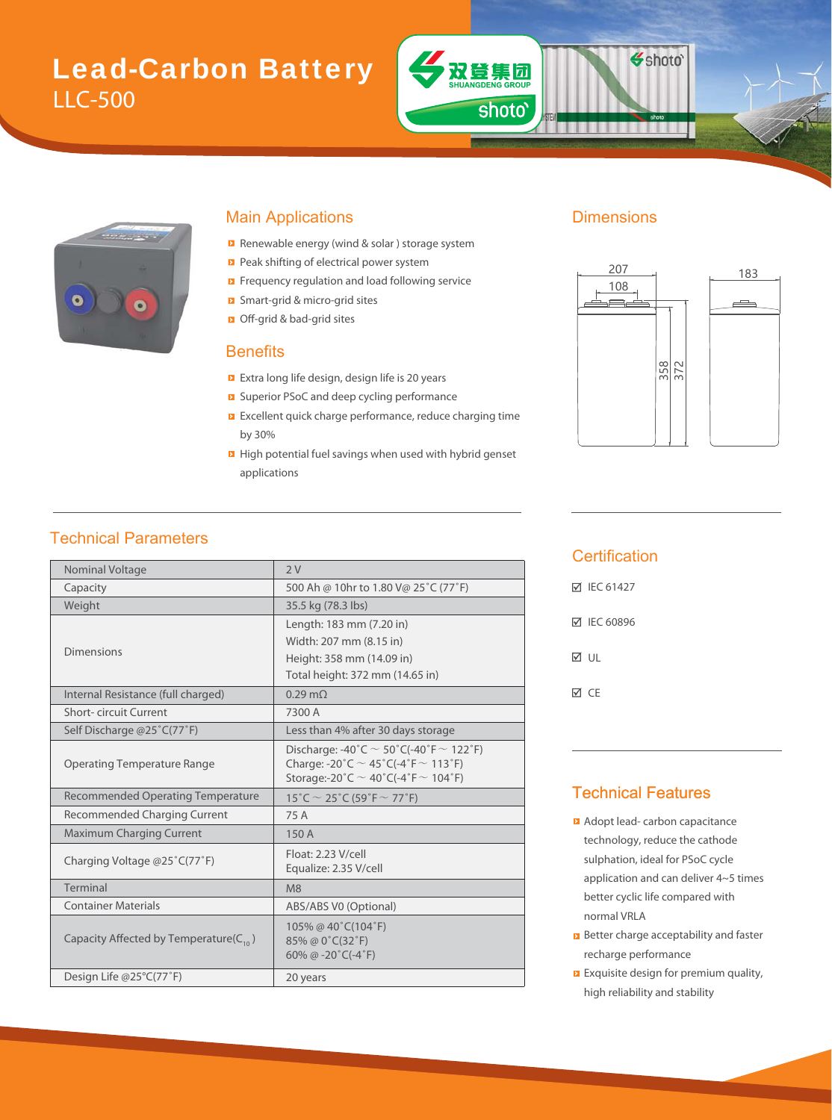# Lead-Carbon Battery LLC-500



#### Main Applications **Dimensions**

- Renewable energy (wind & solar) storage system
- Peak shifting of electrical power system
- Frequency regulation and load following service
- Smart-grid & micro-grid sites m
- Off-grid & bad-grid sites bad-

#### **Benefits**

- Extra long life design, design life is 20 years d
- Superior PSoC and deep cycling performance
- **EXCELLENT QUICK charge performance, reduce charging time** by 30%
- **High potential fuel savings when used with hybrid genset** applications

双登集团

shoto'

Shoto<sup>®</sup>



#### Technical Parameters

| Nominal Voltage                              | 2V                                                                                                                                               |  |  |  |
|----------------------------------------------|--------------------------------------------------------------------------------------------------------------------------------------------------|--|--|--|
| Capacity                                     | 500 Ah @ 10hr to 1.80 V@ 25°C (77°F)                                                                                                             |  |  |  |
| Weight                                       | 35.5 kg (78.3 lbs)                                                                                                                               |  |  |  |
|                                              | Length: 183 mm (7.20 in)                                                                                                                         |  |  |  |
|                                              | Width: 207 mm (8.15 in)                                                                                                                          |  |  |  |
| <b>Dimensions</b>                            | Height: 358 mm (14.09 in)                                                                                                                        |  |  |  |
|                                              | Total height: 372 mm (14.65 in)                                                                                                                  |  |  |  |
| Internal Resistance (full charged)           | $0.29 \text{ m}\Omega$                                                                                                                           |  |  |  |
| Short-circuit Current                        | 7300 A                                                                                                                                           |  |  |  |
| Self Discharge @25°C(77°F)                   | Less than 4% after 30 days storage                                                                                                               |  |  |  |
| <b>Operating Temperature Range</b>           | Discharge: -40°C $\sim$ 50°C(-40°F $\sim$ 122°F)<br>Charge: -20°C $\sim$ 45°C(-4°F $\sim$ 113°F)<br>Storage:-20°C $\sim$ 40°C(-4°F $\sim$ 104°F) |  |  |  |
| <b>Recommended Operating Temperature</b>     | 15°C $\sim$ 25°C (59°F $\sim$ 77°F)                                                                                                              |  |  |  |
| Recommended Charging Current                 | 75 A                                                                                                                                             |  |  |  |
| <b>Maximum Charging Current</b>              | 150 A                                                                                                                                            |  |  |  |
| Charging Voltage @25°C(77°F)                 | Float: 2.23 V/cell<br>Equalize: 2.35 V/cell                                                                                                      |  |  |  |
| Terminal                                     | M8                                                                                                                                               |  |  |  |
| <b>Container Materials</b>                   | ABS/ABS V0 (Optional)                                                                                                                            |  |  |  |
| Capacity Affected by Temperature( $C_{10}$ ) | 105% @ 40°C(104°F)<br>85% @ 0°C(32°F)<br>60% @ -20 $°C$ (-4 $°F$ )                                                                               |  |  |  |
| Design Life @25°C(77°F)                      | 20 years                                                                                                                                         |  |  |  |

#### **Certification**

| M IEC 61427 |
|-------------|
| ☑ IEC 60896 |
| ี√ เม       |
| МcF         |

#### Technical Features

- **Adopt lead- carbon capacitance** technology, reduce the cathode sulphation, ideal for PSoC cycle application and can deliver 4~5 times better cyclic life compared with normal VRLA
- **B** Better charge acceptability and faster recharge performance
- **EXquisite design for premium quality,** high reliability and stability